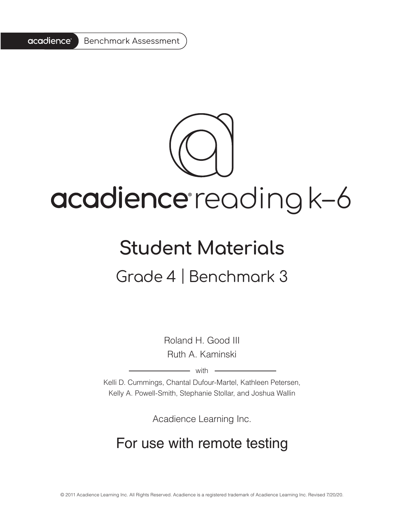

# acadience reading k-6

# **Student Materials** Grade 4 | Benchmark 3

Roland H. Good III Ruth A. Kaminski

 $-$  with  $-$ 

Kelli D. Cummings, Chantal Dufour-Martel, Kathleen Petersen, Kelly A. Powell-Smith, Stephanie Stollar, and Joshua Wallin

Acadience Learning Inc.

# For use with remote testing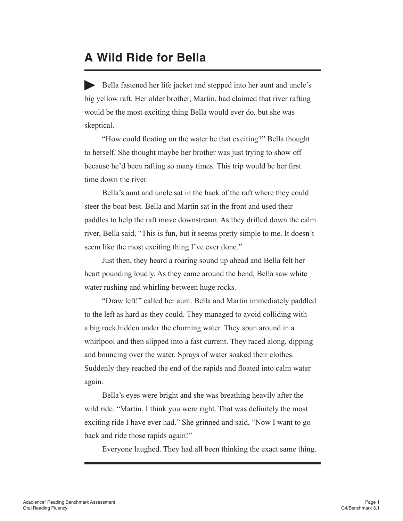# **A Wild Ride for Bella**

Bella fastened her life jacket and stepped into her aunt and uncle's big yellow raft. Her older brother, Martin, had claimed that river rafting would be the most exciting thing Bella would ever do, but she was skeptical.

 "How could floating on the water be that exciting?" Bella thought to herself. She thought maybe her brother was just trying to show off because he'd been rafting so many times. This trip would be her first time down the river.

Bella's aunt and uncle sat in the back of the raft where they could steer the boat best. Bella and Martin sat in the front and used their paddles to help the raft move downstream. As they drifted down the calm river, Bella said, "This is fun, but it seems pretty simple to me. It doesn't seem like the most exciting thing I've ever done."

Just then, they heard a roaring sound up ahead and Bella felt her heart pounding loudly. As they came around the bend, Bella saw white water rushing and whirling between huge rocks.

 "Draw left!" called her aunt. Bella and Martin immediately paddled to the left as hard as they could. They managed to avoid colliding with a big rock hidden under the churning water. They spun around in a whirlpool and then slipped into a fast current. They raced along, dipping and bouncing over the water. Sprays of water soaked their clothes. Suddenly they reached the end of the rapids and floated into calm water again.

Bella's eyes were bright and she was breathing heavily after the wild ride. "Martin, I think you were right. That was definitely the most exciting ride I have ever had." She grinned and said, "Now I want to go back and ride those rapids again!"

Everyone laughed. They had all been thinking the exact same thing.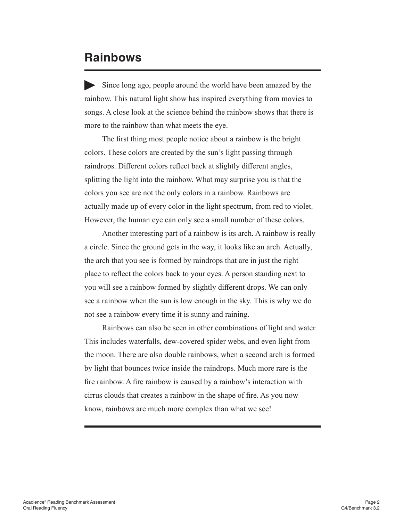# **Rainbows**

Since long ago, people around the world have been amazed by the rainbow. This natural light show has inspired everything from movies to songs. A close look at the science behind the rainbow shows that there is more to the rainbow than what meets the eye.

 The first thing most people notice about a rainbow is the bright colors. These colors are created by the sun's light passing through raindrops. Different colors reflect back at slightly different angles, splitting the light into the rainbow. What may surprise you is that the colors you see are not the only colors in a rainbow. Rainbows are actually made up of every color in the light spectrum, from red to violet. However, the human eye can only see a small number of these colors.

Another interesting part of a rainbow is its arch. A rainbow is really a circle. Since the ground gets in the way, it looks like an arch. Actually, the arch that you see is formed by raindrops that are in just the right place to reflect the colors back to your eyes. A person standing next to you will see a rainbow formed by slightly different drops. We can only see a rainbow when the sun is low enough in the sky. This is why we do not see a rainbow every time it is sunny and raining.

Rainbows can also be seen in other combinations of light and water. This includes waterfalls, dew-covered spider webs, and even light from the moon. There are also double rainbows, when a second arch is formed by light that bounces twice inside the raindrops. Much more rare is the fire rainbow. A fire rainbow is caused by a rainbow's interaction with cirrus clouds that creates a rainbow in the shape of fire. As you now know, rainbows are much more complex than what we see!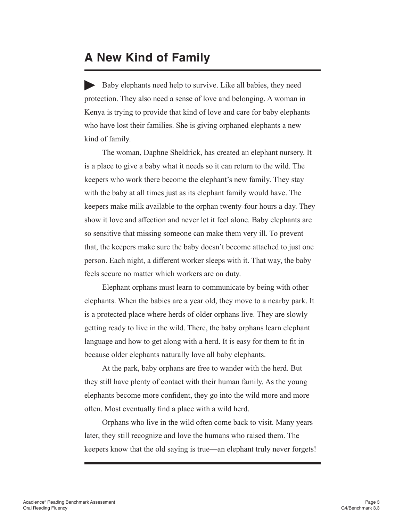# **A New Kind of Family**

Baby elephants need help to survive. Like all babies, they need protection. They also need a sense of love and belonging. A woman in Kenya is trying to provide that kind of love and care for baby elephants who have lost their families. She is giving orphaned elephants a new kind of family.

The woman, Daphne Sheldrick, has created an elephant nursery. It is a place to give a baby what it needs so it can return to the wild. The keepers who work there become the elephant's new family. They stay with the baby at all times just as its elephant family would have. The keepers make milk available to the orphan twenty-four hours a day. They show it love and affection and never let it feel alone. Baby elephants are so sensitive that missing someone can make them very ill. To prevent that, the keepers make sure the baby doesn't become attached to just one person. Each night, a different worker sleeps with it. That way, the baby feels secure no matter which workers are on duty.

Elephant orphans must learn to communicate by being with other elephants. When the babies are a year old, they move to a nearby park. It is a protected place where herds of older orphans live. They are slowly getting ready to live in the wild. There, the baby orphans learn elephant language and how to get along with a herd. It is easy for them to fit in because older elephants naturally love all baby elephants.

At the park, baby orphans are free to wander with the herd. But they still have plenty of contact with their human family. As the young elephants become more confident, they go into the wild more and more often. Most eventually find a place with a wild herd.

Orphans who live in the wild often come back to visit. Many years later, they still recognize and love the humans who raised them. The keepers know that the old saying is true—an elephant truly never forgets!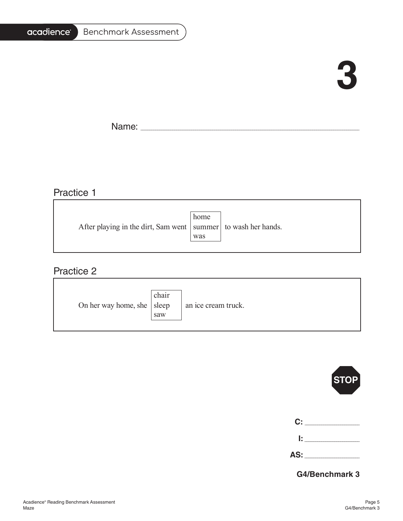#### acadience<sup>®</sup> Benchmark Assessment

# **3**

 $\overline{\phantom{0}}$ 

Name: \_\_\_\_\_\_\_\_\_\_\_\_\_\_\_\_\_\_\_\_\_\_\_\_\_\_\_\_\_\_\_\_\_\_\_\_\_\_\_\_\_\_\_\_\_\_\_\_\_\_\_\_\_\_\_\_\_\_\_\_\_\_\_\_\_\_\_\_\_\_\_\_\_\_\_\_\_\_\_\_\_\_\_\_\_\_\_\_\_\_\_\_\_\_\_\_\_\_\_\_\_\_\_

# Practice 1

| After playing in the dirt, Sam went   summer   to wash her hands. | home<br>was |  |
|-------------------------------------------------------------------|-------------|--|
|                                                                   |             |  |

## Practice 2

| On her way home, she   sleep | chair<br>saw | an ice cream truck. |
|------------------------------|--------------|---------------------|
|------------------------------|--------------|---------------------|



| -- | _____<br>____ |
|----|---------------|
|    |               |
|    |               |

**AS:** \_\_\_\_\_\_\_\_\_\_\_\_\_\_\_\_\_\_\_\_\_\_\_\_\_\_

**G4/Benchmark 3**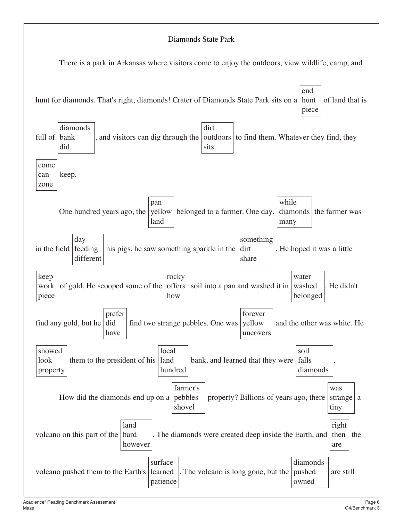### Diamonds State Park

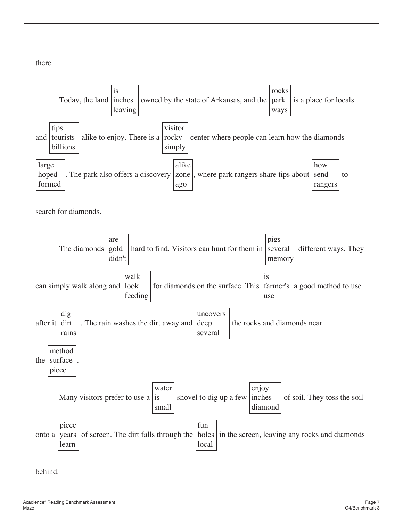there.